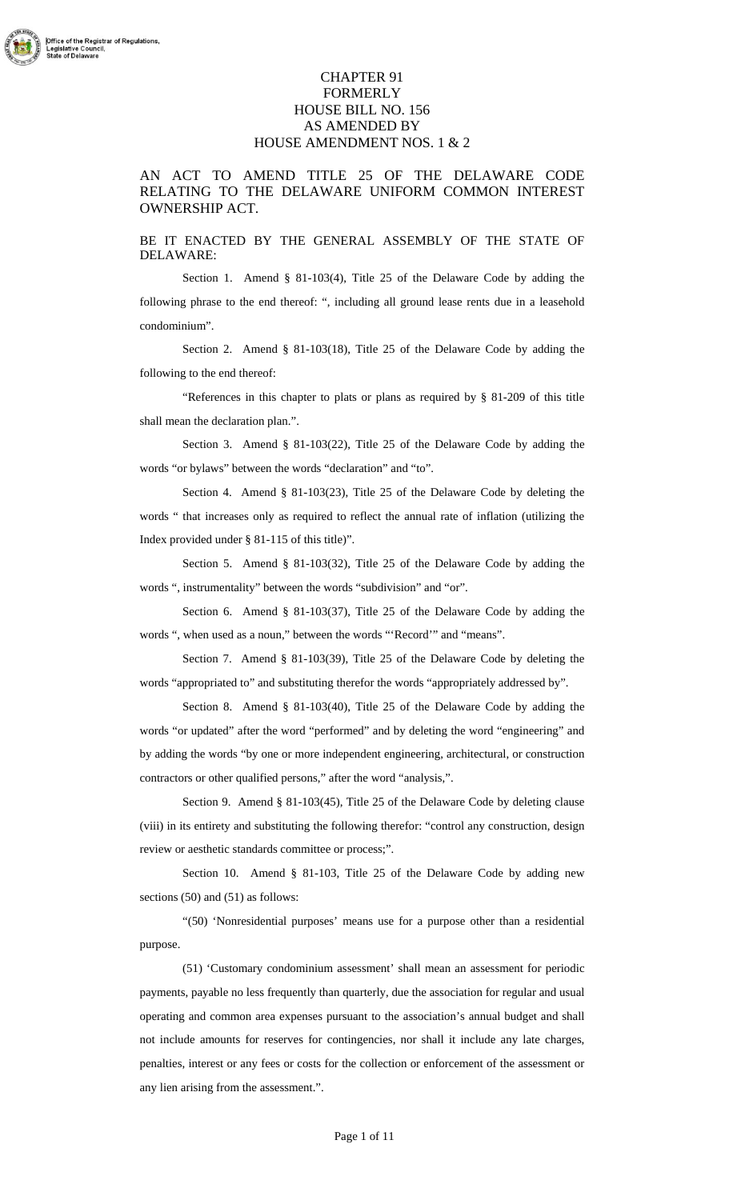## CHAPTER 91 FORMERLY HOUSE BILL NO. 156 AS AMENDED BY HOUSE AMENDMENT NOS. 1 & 2

## AN ACT TO AMEND TITLE 25 OF THE DELAWARE CODE RELATING TO THE DELAWARE UNIFORM COMMON INTEREST OWNERSHIP ACT.

BE IT ENACTED BY THE GENERAL ASSEMBLY OF THE STATE OF DELAWARE:

Section 1. Amend § 81-103(4), Title 25 of the Delaware Code by adding the following phrase to the end thereof: ", including all ground lease rents due in a leasehold condominium".

Section 2. Amend § 81-103(18), Title 25 of the Delaware Code by adding the following to the end thereof:

"References in this chapter to plats or plans as required by § 81-209 of this title shall mean the declaration plan.".

Section 3. Amend § 81-103(22), Title 25 of the Delaware Code by adding the words "or bylaws" between the words "declaration" and "to".

Section 4. Amend § 81-103(23), Title 25 of the Delaware Code by deleting the words " that increases only as required to reflect the annual rate of inflation (utilizing the Index provided under § 81-115 of this title)".

Section 5. Amend § 81-103(32), Title 25 of the Delaware Code by adding the words ", instrumentality" between the words "subdivision" and "or".

Section 6. Amend § 81-103(37), Title 25 of the Delaware Code by adding the words ", when used as a noun," between the words "'Record'" and "means".

Section 7. Amend § 81-103(39), Title 25 of the Delaware Code by deleting the words "appropriated to" and substituting therefor the words "appropriately addressed by".

Section 8. Amend § 81-103(40), Title 25 of the Delaware Code by adding the words "or updated" after the word "performed" and by deleting the word "engineering" and by adding the words "by one or more independent engineering, architectural, or construction contractors or other qualified persons," after the word "analysis,".

Section 9. Amend § 81-103(45), Title 25 of the Delaware Code by deleting clause (viii) in its entirety and substituting the following therefor: "control any construction, design review or aesthetic standards committee or process;".

Section 10. Amend § 81-103, Title 25 of the Delaware Code by adding new sections (50) and (51) as follows:

"(50) 'Nonresidential purposes' means use for a purpose other than a residential purpose.

(51) 'Customary condominium assessment' shall mean an assessment for periodic payments, payable no less frequently than quarterly, due the association for regular and usual operating and common area expenses pursuant to the association's annual budget and shall not include amounts for reserves for contingencies, nor shall it include any late charges, penalties, interest or any fees or costs for the collection or enforcement of the assessment or any lien arising from the assessment.".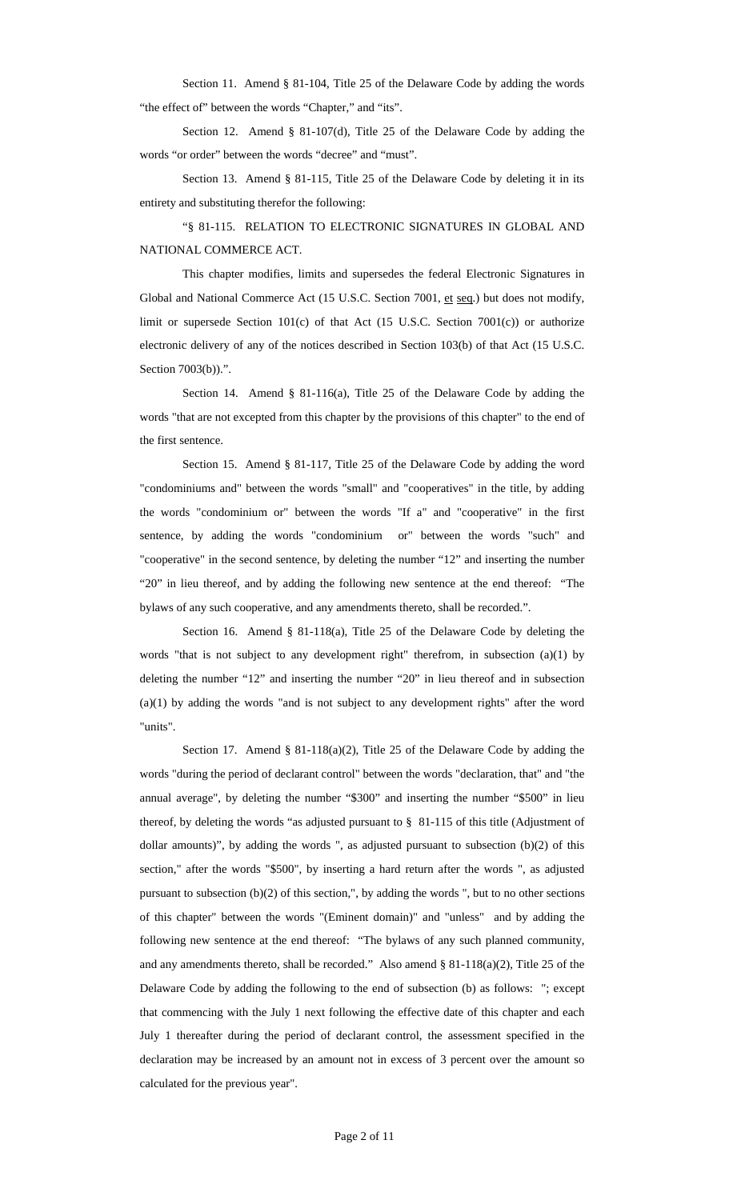Section 11. Amend § 81-104, Title 25 of the Delaware Code by adding the words "the effect of" between the words "Chapter," and "its".

Section 12. Amend § 81-107(d), Title 25 of the Delaware Code by adding the words "or order" between the words "decree" and "must".

Section 13. Amend § 81-115, Title 25 of the Delaware Code by deleting it in its entirety and substituting therefor the following:

"§ 81-115. RELATION TO ELECTRONIC SIGNATURES IN GLOBAL AND NATIONAL COMMERCE ACT.

This chapter modifies, limits and supersedes the federal Electronic Signatures in Global and National Commerce Act (15 U.S.C. Section 7001, et seq.) but does not modify, limit or supersede Section 101(c) of that Act (15 U.S.C. Section 7001(c)) or authorize electronic delivery of any of the notices described in Section 103(b) of that Act (15 U.S.C. Section 7003(b)).".

Section 14. Amend § 81-116(a), Title 25 of the Delaware Code by adding the words "that are not excepted from this chapter by the provisions of this chapter" to the end of the first sentence.

Section 15. Amend § 81-117, Title 25 of the Delaware Code by adding the word "condominiums and" between the words "small" and "cooperatives" in the title, by adding the words "condominium or" between the words "If a" and "cooperative" in the first sentence, by adding the words "condominium or" between the words "such" and "cooperative" in the second sentence, by deleting the number "12" and inserting the number "20" in lieu thereof, and by adding the following new sentence at the end thereof: "The bylaws of any such cooperative, and any amendments thereto, shall be recorded.".

Section 16. Amend § 81-118(a), Title 25 of the Delaware Code by deleting the words "that is not subject to any development right" therefrom, in subsection (a)(1) by deleting the number "12" and inserting the number "20" in lieu thereof and in subsection (a)(1) by adding the words "and is not subject to any development rights" after the word "units".

Section 17. Amend § 81-118(a)(2), Title 25 of the Delaware Code by adding the words "during the period of declarant control" between the words "declaration, that" and "the annual average", by deleting the number "\$300" and inserting the number "\$500" in lieu thereof, by deleting the words "as adjusted pursuant to § 81-115 of this title (Adjustment of dollar amounts)", by adding the words ", as adjusted pursuant to subsection (b)(2) of this section," after the words "\$500", by inserting a hard return after the words ", as adjusted pursuant to subsection (b)(2) of this section,", by adding the words ", but to no other sections of this chapter" between the words "(Eminent domain)" and "unless" and by adding the following new sentence at the end thereof: "The bylaws of any such planned community, and any amendments thereto, shall be recorded." Also amend § 81-118(a)(2), Title 25 of the Delaware Code by adding the following to the end of subsection (b) as follows: "; except that commencing with the July 1 next following the effective date of this chapter and each July 1 thereafter during the period of declarant control, the assessment specified in the declaration may be increased by an amount not in excess of 3 percent over the amount so calculated for the previous year".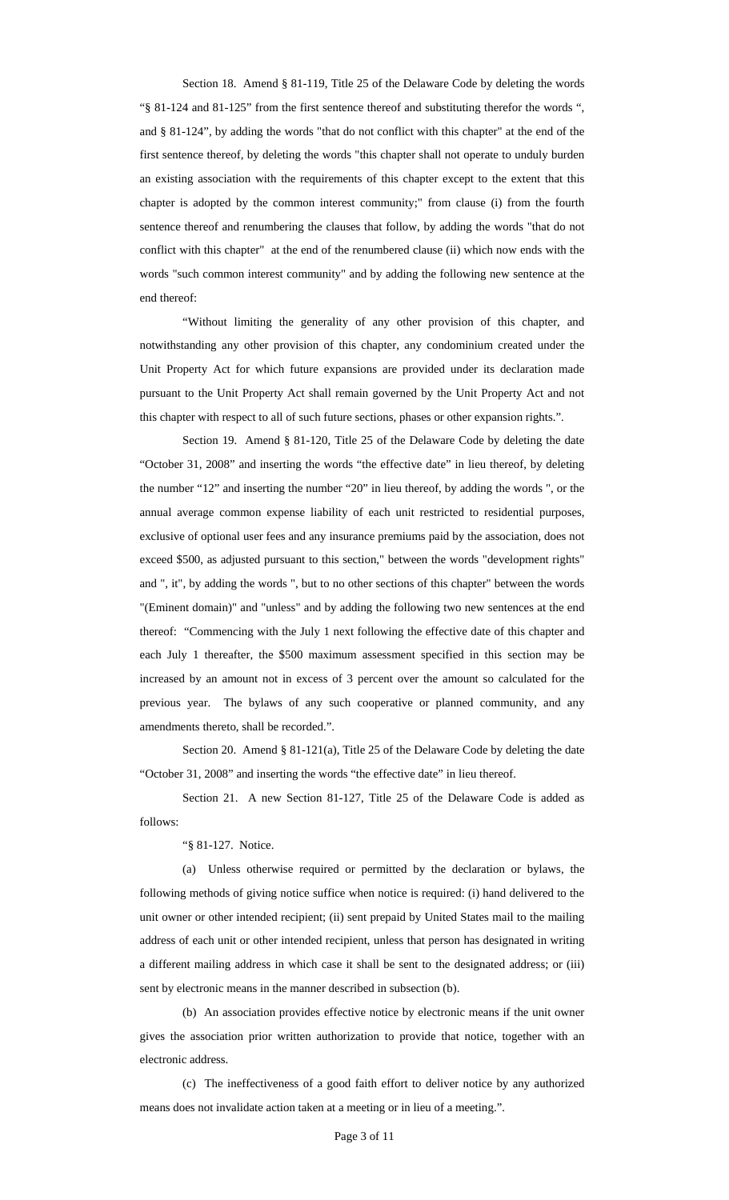Section 18. Amend § 81-119, Title 25 of the Delaware Code by deleting the words "§ 81-124 and 81-125" from the first sentence thereof and substituting therefor the words ", and § 81-124", by adding the words "that do not conflict with this chapter" at the end of the first sentence thereof, by deleting the words "this chapter shall not operate to unduly burden an existing association with the requirements of this chapter except to the extent that this chapter is adopted by the common interest community;" from clause (i) from the fourth sentence thereof and renumbering the clauses that follow, by adding the words "that do not conflict with this chapter" at the end of the renumbered clause (ii) which now ends with the words "such common interest community" and by adding the following new sentence at the end thereof:

"Without limiting the generality of any other provision of this chapter, and notwithstanding any other provision of this chapter, any condominium created under the Unit Property Act for which future expansions are provided under its declaration made pursuant to the Unit Property Act shall remain governed by the Unit Property Act and not this chapter with respect to all of such future sections, phases or other expansion rights.".

Section 19. Amend § 81-120, Title 25 of the Delaware Code by deleting the date "October 31, 2008" and inserting the words "the effective date" in lieu thereof, by deleting the number "12" and inserting the number "20" in lieu thereof, by adding the words ", or the annual average common expense liability of each unit restricted to residential purposes, exclusive of optional user fees and any insurance premiums paid by the association, does not exceed \$500, as adjusted pursuant to this section," between the words "development rights" and ", it", by adding the words ", but to no other sections of this chapter" between the words "(Eminent domain)" and "unless" and by adding the following two new sentences at the end thereof: "Commencing with the July 1 next following the effective date of this chapter and each July 1 thereafter, the \$500 maximum assessment specified in this section may be increased by an amount not in excess of 3 percent over the amount so calculated for the previous year. The bylaws of any such cooperative or planned community, and any amendments thereto, shall be recorded.".

Section 20. Amend § 81-121(a), Title 25 of the Delaware Code by deleting the date "October 31, 2008" and inserting the words "the effective date" in lieu thereof.

Section 21. A new Section 81-127, Title 25 of the Delaware Code is added as follows:

"§ 81-127. Notice.

(a) Unless otherwise required or permitted by the declaration or bylaws, the following methods of giving notice suffice when notice is required: (i) hand delivered to the unit owner or other intended recipient; (ii) sent prepaid by United States mail to the mailing address of each unit or other intended recipient, unless that person has designated in writing a different mailing address in which case it shall be sent to the designated address; or (iii) sent by electronic means in the manner described in subsection (b).

(b) An association provides effective notice by electronic means if the unit owner gives the association prior written authorization to provide that notice, together with an electronic address.

(c) The ineffectiveness of a good faith effort to deliver notice by any authorized means does not invalidate action taken at a meeting or in lieu of a meeting.".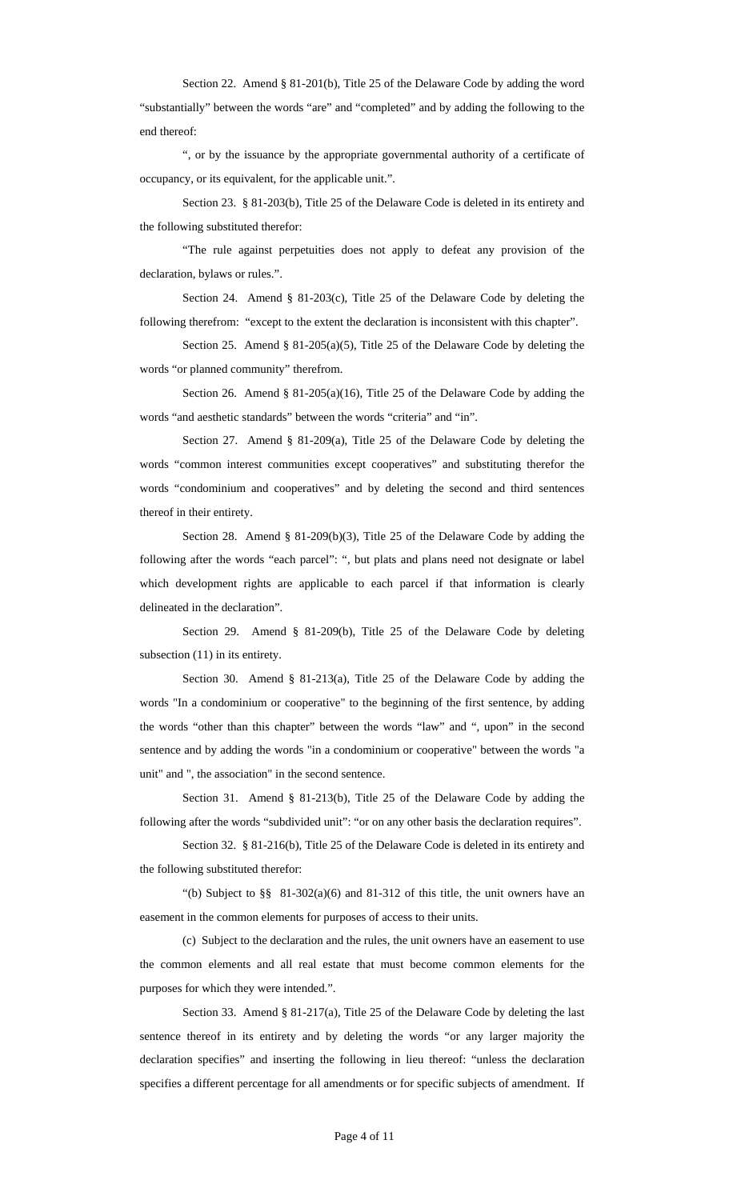Section 22. Amend § 81-201(b), Title 25 of the Delaware Code by adding the word "substantially" between the words "are" and "completed" and by adding the following to the end thereof:

", or by the issuance by the appropriate governmental authority of a certificate of occupancy, or its equivalent, for the applicable unit.".

Section 23. § 81-203(b), Title 25 of the Delaware Code is deleted in its entirety and the following substituted therefor:

"The rule against perpetuities does not apply to defeat any provision of the declaration, bylaws or rules.".

Section 24. Amend § 81-203(c), Title 25 of the Delaware Code by deleting the following therefrom: "except to the extent the declaration is inconsistent with this chapter".

Section 25. Amend § 81-205(a)(5), Title 25 of the Delaware Code by deleting the words "or planned community" therefrom.

Section 26. Amend § 81-205(a)(16), Title 25 of the Delaware Code by adding the words "and aesthetic standards" between the words "criteria" and "in".

Section 27. Amend § 81-209(a), Title 25 of the Delaware Code by deleting the words "common interest communities except cooperatives" and substituting therefor the words "condominium and cooperatives" and by deleting the second and third sentences thereof in their entirety.

Section 28. Amend § 81-209(b)(3), Title 25 of the Delaware Code by adding the following after the words "each parcel": ", but plats and plans need not designate or label which development rights are applicable to each parcel if that information is clearly delineated in the declaration".

Section 29. Amend § 81-209(b), Title 25 of the Delaware Code by deleting subsection  $(11)$  in its entirety.

Section 30. Amend § 81-213(a), Title 25 of the Delaware Code by adding the words "In a condominium or cooperative" to the beginning of the first sentence, by adding the words "other than this chapter" between the words "law" and ", upon" in the second sentence and by adding the words "in a condominium or cooperative" between the words "a unit" and ", the association" in the second sentence.

Section 31. Amend § 81-213(b), Title 25 of the Delaware Code by adding the following after the words "subdivided unit": "or on any other basis the declaration requires".

Section 32. § 81-216(b), Title 25 of the Delaware Code is deleted in its entirety and the following substituted therefor:

"(b) Subject to §§ 81-302(a)(6) and 81-312 of this title, the unit owners have an easement in the common elements for purposes of access to their units.

(c) Subject to the declaration and the rules, the unit owners have an easement to use the common elements and all real estate that must become common elements for the purposes for which they were intended.".

Section 33. Amend § 81-217(a), Title 25 of the Delaware Code by deleting the last sentence thereof in its entirety and by deleting the words "or any larger majority the declaration specifies" and inserting the following in lieu thereof: "unless the declaration specifies a different percentage for all amendments or for specific subjects of amendment. If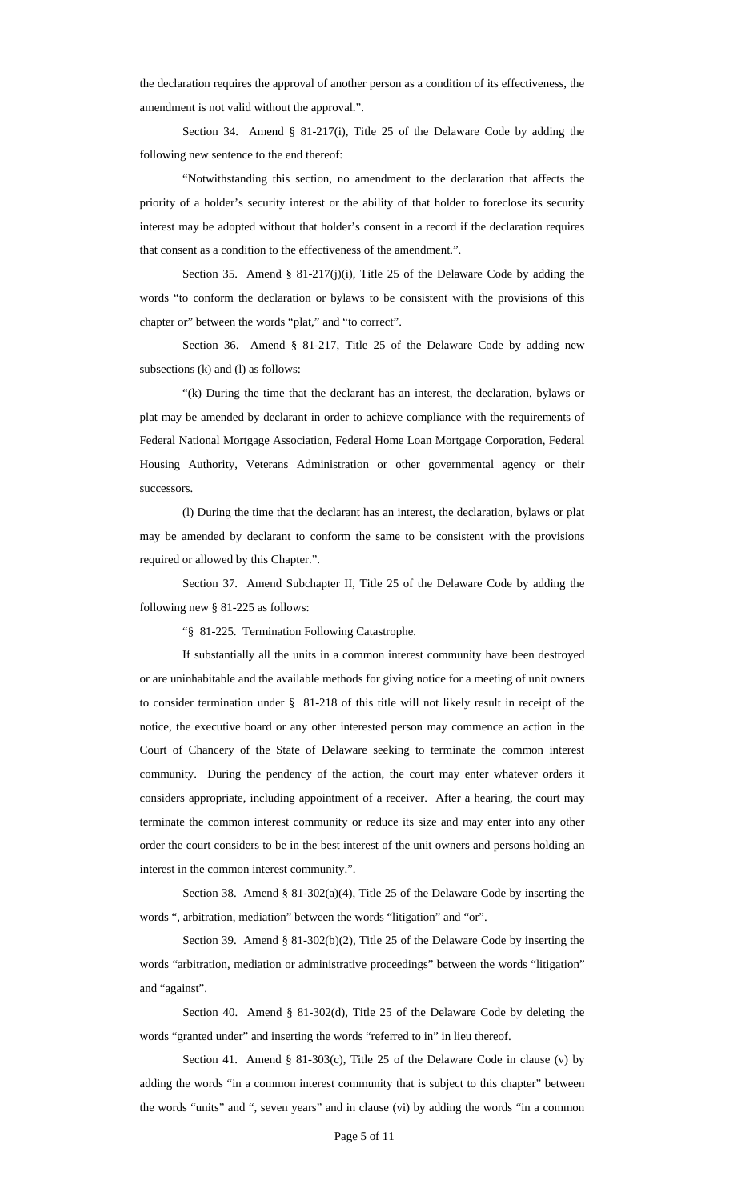the declaration requires the approval of another person as a condition of its effectiveness, the amendment is not valid without the approval.".

Section 34. Amend § 81-217(i), Title 25 of the Delaware Code by adding the following new sentence to the end thereof:

"Notwithstanding this section, no amendment to the declaration that affects the priority of a holder's security interest or the ability of that holder to foreclose its security interest may be adopted without that holder's consent in a record if the declaration requires that consent as a condition to the effectiveness of the amendment.".

Section 35. Amend § 81-217(j)(i), Title 25 of the Delaware Code by adding the words "to conform the declaration or bylaws to be consistent with the provisions of this chapter or" between the words "plat," and "to correct".

Section 36. Amend § 81-217, Title 25 of the Delaware Code by adding new subsections (k) and (l) as follows:

"(k) During the time that the declarant has an interest, the declaration, bylaws or plat may be amended by declarant in order to achieve compliance with the requirements of Federal National Mortgage Association, Federal Home Loan Mortgage Corporation, Federal Housing Authority, Veterans Administration or other governmental agency or their successors.

(l) During the time that the declarant has an interest, the declaration, bylaws or plat may be amended by declarant to conform the same to be consistent with the provisions required or allowed by this Chapter.".

Section 37. Amend Subchapter II, Title 25 of the Delaware Code by adding the following new § 81-225 as follows:

"§ 81-225. Termination Following Catastrophe.

If substantially all the units in a common interest community have been destroyed or are uninhabitable and the available methods for giving notice for a meeting of unit owners to consider termination under § 81-218 of this title will not likely result in receipt of the notice, the executive board or any other interested person may commence an action in the Court of Chancery of the State of Delaware seeking to terminate the common interest community. During the pendency of the action, the court may enter whatever orders it considers appropriate, including appointment of a receiver. After a hearing, the court may terminate the common interest community or reduce its size and may enter into any other order the court considers to be in the best interest of the unit owners and persons holding an interest in the common interest community.".

Section 38. Amend § 81-302(a)(4), Title 25 of the Delaware Code by inserting the words ", arbitration, mediation" between the words "litigation" and "or".

Section 39. Amend § 81-302(b)(2), Title 25 of the Delaware Code by inserting the words "arbitration, mediation or administrative proceedings" between the words "litigation" and "against".

Section 40. Amend § 81-302(d), Title 25 of the Delaware Code by deleting the words "granted under" and inserting the words "referred to in" in lieu thereof.

Section 41. Amend § 81-303(c), Title 25 of the Delaware Code in clause (v) by adding the words "in a common interest community that is subject to this chapter" between the words "units" and ", seven years" and in clause (vi) by adding the words "in a common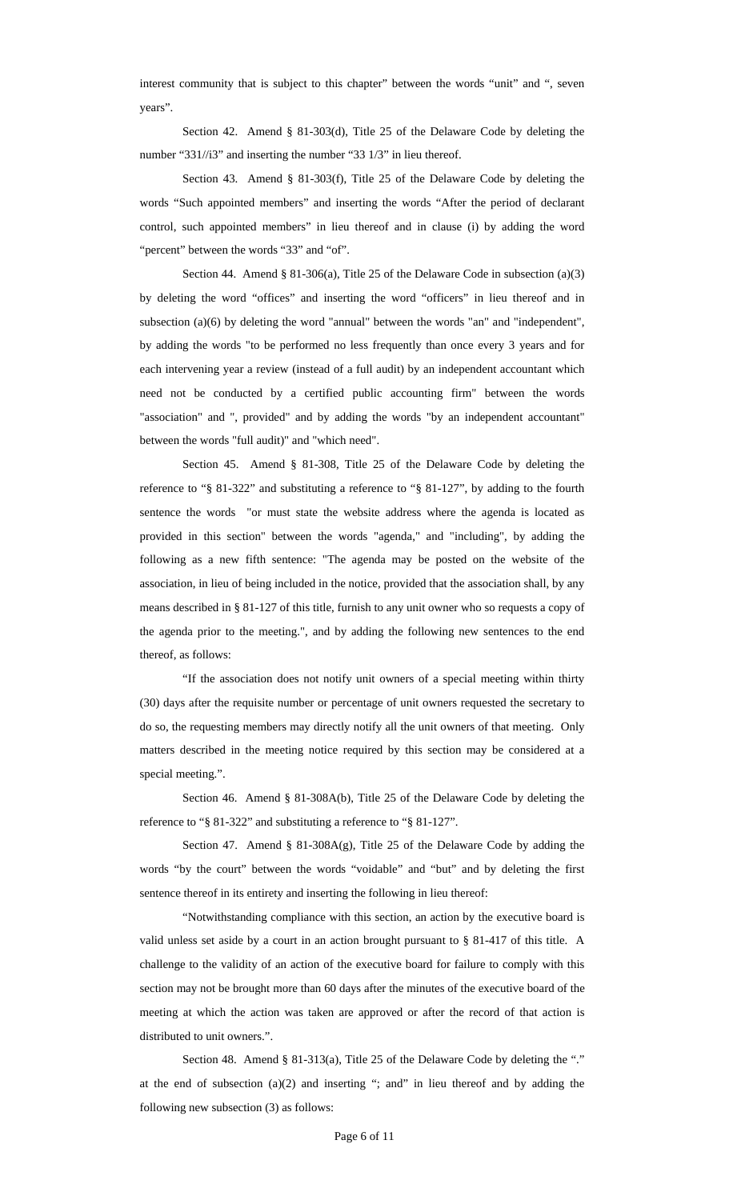interest community that is subject to this chapter" between the words "unit" and ", seven years".

Section 42. Amend § 81-303(d), Title 25 of the Delaware Code by deleting the number "331//i3" and inserting the number "33 1/3" in lieu thereof.

Section 43. Amend § 81-303(f), Title 25 of the Delaware Code by deleting the words "Such appointed members" and inserting the words "After the period of declarant control, such appointed members" in lieu thereof and in clause (i) by adding the word "percent" between the words "33" and "of".

Section 44. Amend § 81-306(a), Title 25 of the Delaware Code in subsection (a)(3) by deleting the word "offices" and inserting the word "officers" in lieu thereof and in subsection (a)(6) by deleting the word "annual" between the words "an" and "independent", by adding the words "to be performed no less frequently than once every 3 years and for each intervening year a review (instead of a full audit) by an independent accountant which need not be conducted by a certified public accounting firm" between the words "association" and ", provided" and by adding the words "by an independent accountant" between the words "full audit)" and "which need".

Section 45. Amend § 81-308, Title 25 of the Delaware Code by deleting the reference to "§ 81-322" and substituting a reference to "§ 81-127", by adding to the fourth sentence the words "or must state the website address where the agenda is located as provided in this section" between the words "agenda," and "including", by adding the following as a new fifth sentence: "The agenda may be posted on the website of the association, in lieu of being included in the notice, provided that the association shall, by any means described in § 81-127 of this title, furnish to any unit owner who so requests a copy of the agenda prior to the meeting.", and by adding the following new sentences to the end thereof, as follows:

"If the association does not notify unit owners of a special meeting within thirty (30) days after the requisite number or percentage of unit owners requested the secretary to do so, the requesting members may directly notify all the unit owners of that meeting. Only matters described in the meeting notice required by this section may be considered at a special meeting.".

Section 46. Amend § 81-308A(b), Title 25 of the Delaware Code by deleting the reference to "§ 81-322" and substituting a reference to "§ 81-127".

Section 47. Amend § 81-308A(g), Title 25 of the Delaware Code by adding the words "by the court" between the words "voidable" and "but" and by deleting the first sentence thereof in its entirety and inserting the following in lieu thereof:

"Notwithstanding compliance with this section, an action by the executive board is valid unless set aside by a court in an action brought pursuant to § 81-417 of this title. A challenge to the validity of an action of the executive board for failure to comply with this section may not be brought more than 60 days after the minutes of the executive board of the meeting at which the action was taken are approved or after the record of that action is distributed to unit owners.".

Section 48. Amend § 81-313(a), Title 25 of the Delaware Code by deleting the "." at the end of subsection  $(a)(2)$  and inserting "; and" in lieu thereof and by adding the following new subsection (3) as follows: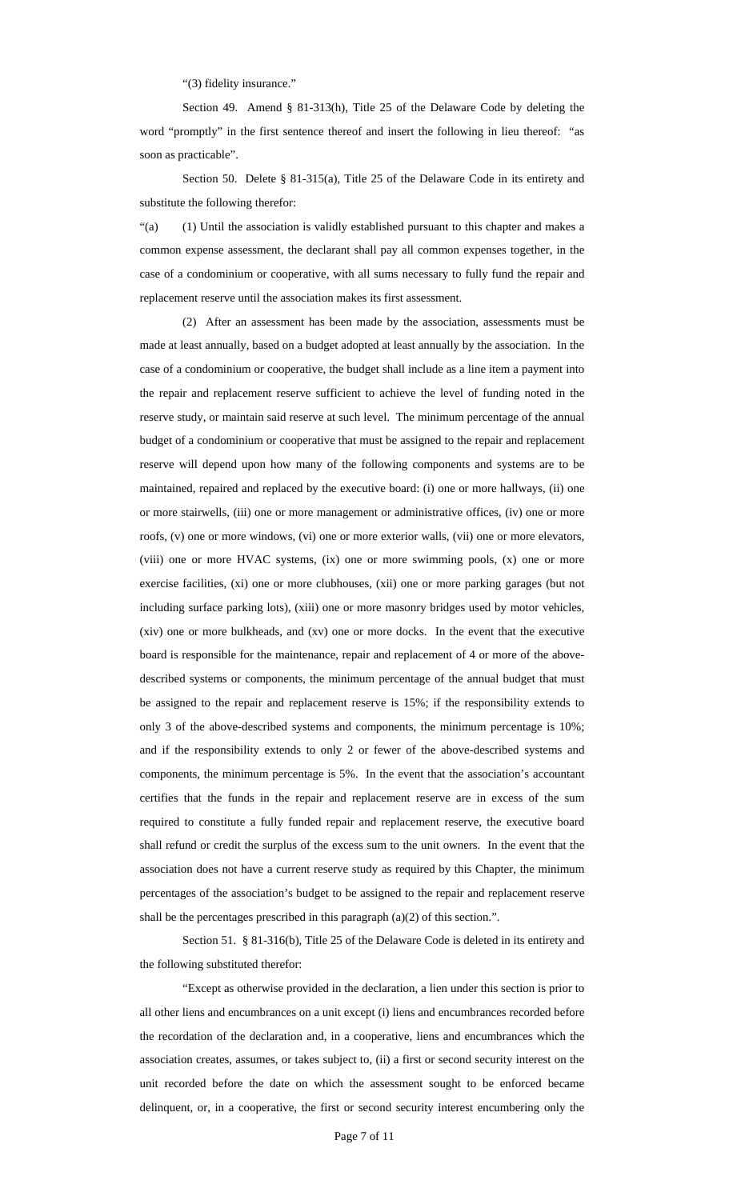"(3) fidelity insurance."

Section 49. Amend § 81-313(h), Title 25 of the Delaware Code by deleting the word "promptly" in the first sentence thereof and insert the following in lieu thereof: "as soon as practicable".

Section 50. Delete § 81-315(a), Title 25 of the Delaware Code in its entirety and substitute the following therefor:

"(a) (1) Until the association is validly established pursuant to this chapter and makes a common expense assessment, the declarant shall pay all common expenses together, in the case of a condominium or cooperative, with all sums necessary to fully fund the repair and replacement reserve until the association makes its first assessment.

(2) After an assessment has been made by the association, assessments must be made at least annually, based on a budget adopted at least annually by the association. In the case of a condominium or cooperative, the budget shall include as a line item a payment into the repair and replacement reserve sufficient to achieve the level of funding noted in the reserve study, or maintain said reserve at such level. The minimum percentage of the annual budget of a condominium or cooperative that must be assigned to the repair and replacement reserve will depend upon how many of the following components and systems are to be maintained, repaired and replaced by the executive board: (i) one or more hallways, (ii) one or more stairwells, (iii) one or more management or administrative offices, (iv) one or more roofs, (v) one or more windows, (vi) one or more exterior walls, (vii) one or more elevators, (viii) one or more HVAC systems, (ix) one or more swimming pools, (x) one or more exercise facilities, (xi) one or more clubhouses, (xii) one or more parking garages (but not including surface parking lots), (xiii) one or more masonry bridges used by motor vehicles, (xiv) one or more bulkheads, and (xv) one or more docks. In the event that the executive board is responsible for the maintenance, repair and replacement of 4 or more of the abovedescribed systems or components, the minimum percentage of the annual budget that must be assigned to the repair and replacement reserve is 15%; if the responsibility extends to only 3 of the above-described systems and components, the minimum percentage is 10%; and if the responsibility extends to only 2 or fewer of the above-described systems and components, the minimum percentage is 5%. In the event that the association's accountant certifies that the funds in the repair and replacement reserve are in excess of the sum required to constitute a fully funded repair and replacement reserve, the executive board shall refund or credit the surplus of the excess sum to the unit owners. In the event that the association does not have a current reserve study as required by this Chapter, the minimum percentages of the association's budget to be assigned to the repair and replacement reserve shall be the percentages prescribed in this paragraph (a)(2) of this section.".

Section 51. § 81-316(b), Title 25 of the Delaware Code is deleted in its entirety and the following substituted therefor:

"Except as otherwise provided in the declaration, a lien under this section is prior to all other liens and encumbrances on a unit except (i) liens and encumbrances recorded before the recordation of the declaration and, in a cooperative, liens and encumbrances which the association creates, assumes, or takes subject to, (ii) a first or second security interest on the unit recorded before the date on which the assessment sought to be enforced became delinquent, or, in a cooperative, the first or second security interest encumbering only the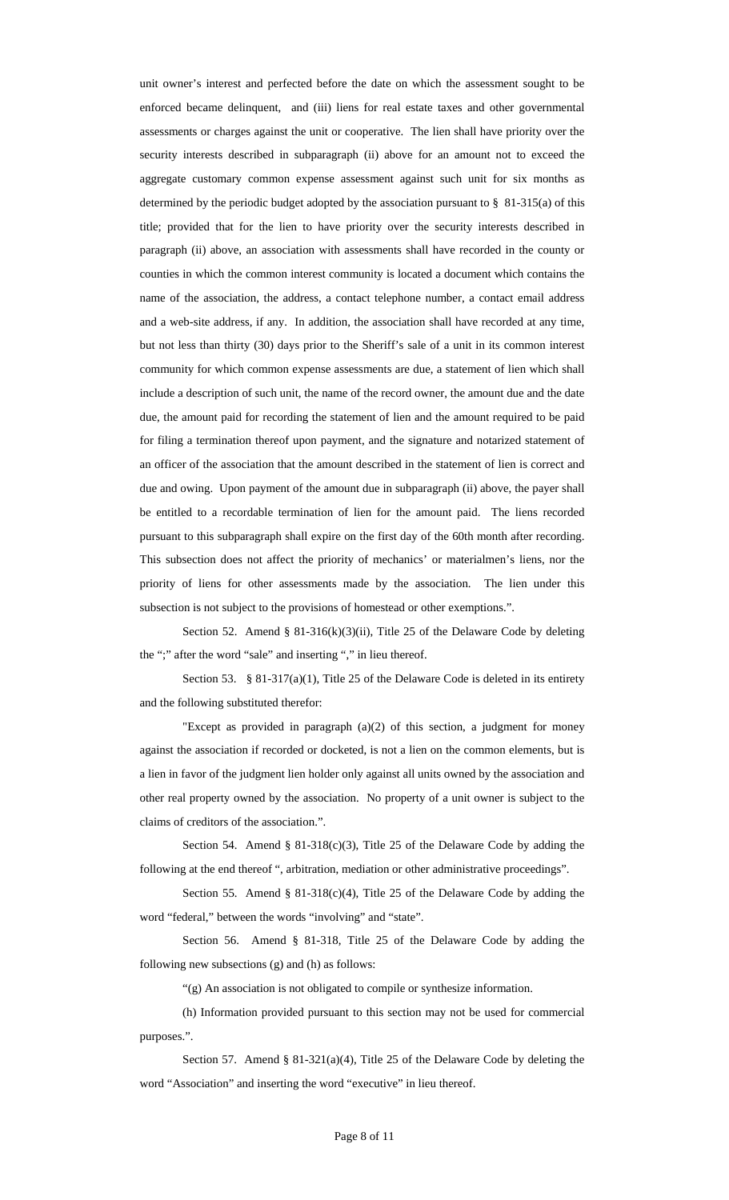unit owner's interest and perfected before the date on which the assessment sought to be enforced became delinquent, and (iii) liens for real estate taxes and other governmental assessments or charges against the unit or cooperative. The lien shall have priority over the security interests described in subparagraph (ii) above for an amount not to exceed the aggregate customary common expense assessment against such unit for six months as determined by the periodic budget adopted by the association pursuant to § 81-315(a) of this title; provided that for the lien to have priority over the security interests described in paragraph (ii) above, an association with assessments shall have recorded in the county or counties in which the common interest community is located a document which contains the name of the association, the address, a contact telephone number, a contact email address and a web-site address, if any. In addition, the association shall have recorded at any time, but not less than thirty (30) days prior to the Sheriff's sale of a unit in its common interest community for which common expense assessments are due, a statement of lien which shall include a description of such unit, the name of the record owner, the amount due and the date due, the amount paid for recording the statement of lien and the amount required to be paid for filing a termination thereof upon payment, and the signature and notarized statement of an officer of the association that the amount described in the statement of lien is correct and due and owing. Upon payment of the amount due in subparagraph (ii) above, the payer shall be entitled to a recordable termination of lien for the amount paid. The liens recorded pursuant to this subparagraph shall expire on the first day of the 60th month after recording. This subsection does not affect the priority of mechanics' or materialmen's liens, nor the priority of liens for other assessments made by the association. The lien under this subsection is not subject to the provisions of homestead or other exemptions.".

Section 52. Amend § 81-316(k)(3)(ii), Title 25 of the Delaware Code by deleting the ";" after the word "sale" and inserting "," in lieu thereof.

Section 53. § 81-317(a)(1), Title 25 of the Delaware Code is deleted in its entirety and the following substituted therefor:

"Except as provided in paragraph (a)(2) of this section, a judgment for money against the association if recorded or docketed, is not a lien on the common elements, but is a lien in favor of the judgment lien holder only against all units owned by the association and other real property owned by the association. No property of a unit owner is subject to the claims of creditors of the association.".

Section 54. Amend § 81-318(c)(3), Title 25 of the Delaware Code by adding the following at the end thereof ", arbitration, mediation or other administrative proceedings".

Section 55. Amend § 81-318(c)(4), Title 25 of the Delaware Code by adding the word "federal," between the words "involving" and "state".

Section 56. Amend § 81-318, Title 25 of the Delaware Code by adding the following new subsections (g) and (h) as follows:

"(g) An association is not obligated to compile or synthesize information.

(h) Information provided pursuant to this section may not be used for commercial purposes.".

Section 57. Amend § 81-321(a)(4), Title 25 of the Delaware Code by deleting the word "Association" and inserting the word "executive" in lieu thereof.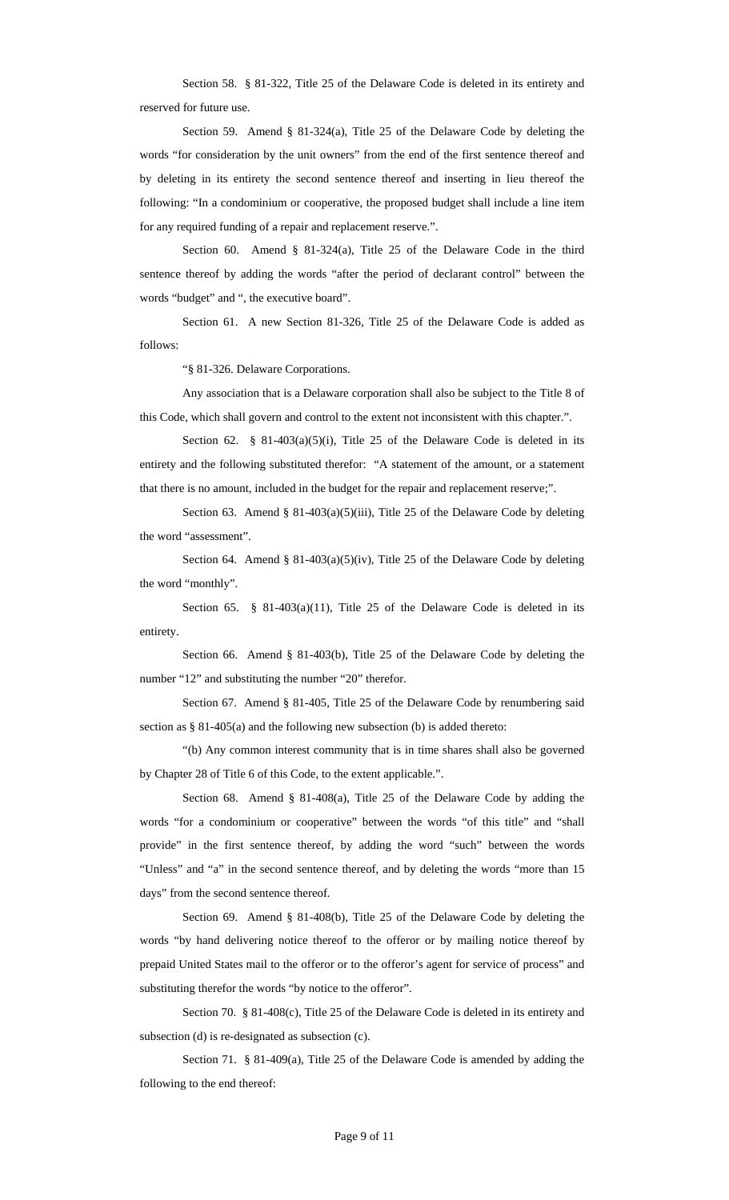Section 58. § 81-322, Title 25 of the Delaware Code is deleted in its entirety and reserved for future use.

Section 59. Amend § 81-324(a), Title 25 of the Delaware Code by deleting the words "for consideration by the unit owners" from the end of the first sentence thereof and by deleting in its entirety the second sentence thereof and inserting in lieu thereof the following: "In a condominium or cooperative, the proposed budget shall include a line item for any required funding of a repair and replacement reserve.".

Section 60. Amend § 81-324(a), Title 25 of the Delaware Code in the third sentence thereof by adding the words "after the period of declarant control" between the words "budget" and ", the executive board".

Section 61. A new Section 81-326, Title 25 of the Delaware Code is added as follows:

"§ 81-326. Delaware Corporations.

Any association that is a Delaware corporation shall also be subject to the Title 8 of this Code, which shall govern and control to the extent not inconsistent with this chapter.".

Section 62. § 81-403(a)(5)(i), Title 25 of the Delaware Code is deleted in its entirety and the following substituted therefor: "A statement of the amount, or a statement that there is no amount, included in the budget for the repair and replacement reserve;".

Section 63. Amend § 81-403(a)(5)(iii), Title 25 of the Delaware Code by deleting the word "assessment".

Section 64. Amend § 81-403(a)(5)(iv), Title 25 of the Delaware Code by deleting the word "monthly".

Section 65. § 81-403(a)(11), Title 25 of the Delaware Code is deleted in its entirety.

Section 66. Amend § 81-403(b), Title 25 of the Delaware Code by deleting the number "12" and substituting the number "20" therefor.

Section 67. Amend § 81-405, Title 25 of the Delaware Code by renumbering said section as § 81-405(a) and the following new subsection (b) is added thereto:

"(b) Any common interest community that is in time shares shall also be governed by Chapter 28 of Title 6 of this Code, to the extent applicable.".

Section 68. Amend § 81-408(a), Title 25 of the Delaware Code by adding the words "for a condominium or cooperative" between the words "of this title" and "shall provide" in the first sentence thereof, by adding the word "such" between the words "Unless" and "a" in the second sentence thereof, and by deleting the words "more than 15 days" from the second sentence thereof.

Section 69. Amend § 81-408(b), Title 25 of the Delaware Code by deleting the words "by hand delivering notice thereof to the offeror or by mailing notice thereof by prepaid United States mail to the offeror or to the offeror's agent for service of process" and substituting therefor the words "by notice to the offeror".

Section 70. § 81-408(c), Title 25 of the Delaware Code is deleted in its entirety and subsection (d) is re-designated as subsection (c).

Section 71. § 81-409(a), Title 25 of the Delaware Code is amended by adding the following to the end thereof: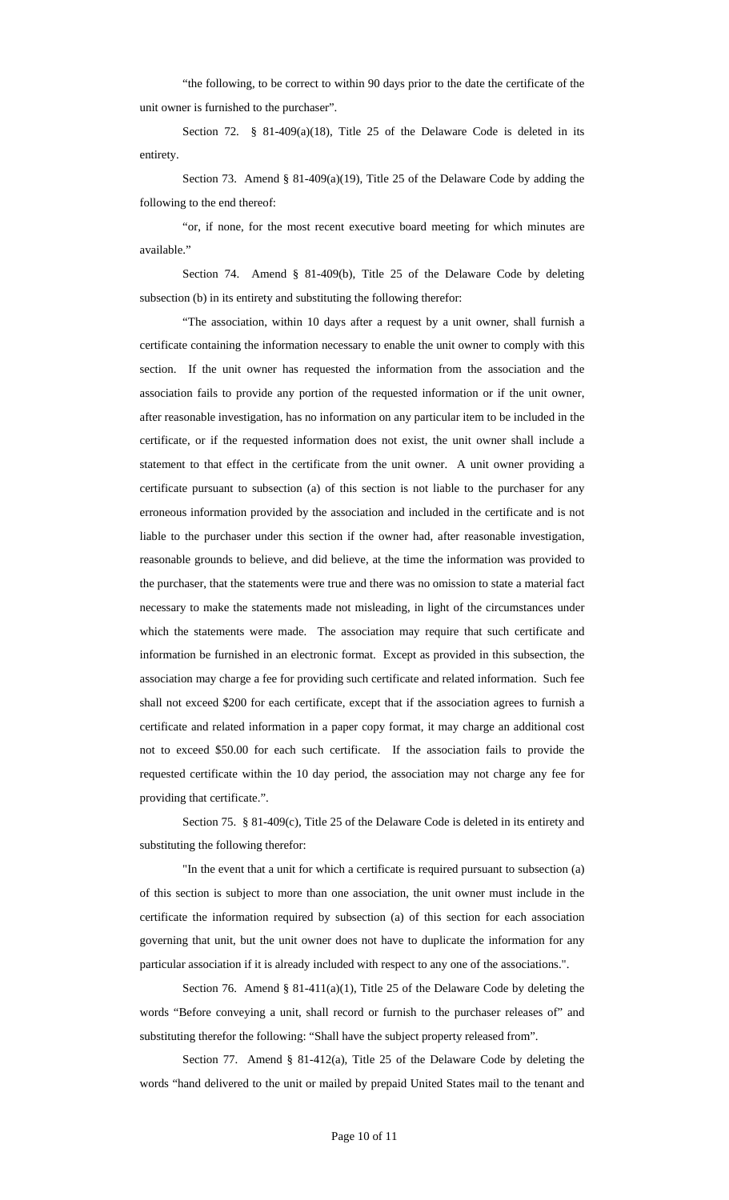"the following, to be correct to within 90 days prior to the date the certificate of the unit owner is furnished to the purchaser".

Section 72. § 81-409(a)(18), Title 25 of the Delaware Code is deleted in its entirety.

Section 73. Amend § 81-409(a)(19), Title 25 of the Delaware Code by adding the following to the end thereof:

"or, if none, for the most recent executive board meeting for which minutes are available."

Section 74. Amend § 81-409(b), Title 25 of the Delaware Code by deleting subsection (b) in its entirety and substituting the following therefor:

"The association, within 10 days after a request by a unit owner, shall furnish a certificate containing the information necessary to enable the unit owner to comply with this section. If the unit owner has requested the information from the association and the association fails to provide any portion of the requested information or if the unit owner, after reasonable investigation, has no information on any particular item to be included in the certificate, or if the requested information does not exist, the unit owner shall include a statement to that effect in the certificate from the unit owner. A unit owner providing a certificate pursuant to subsection (a) of this section is not liable to the purchaser for any erroneous information provided by the association and included in the certificate and is not liable to the purchaser under this section if the owner had, after reasonable investigation, reasonable grounds to believe, and did believe, at the time the information was provided to the purchaser, that the statements were true and there was no omission to state a material fact necessary to make the statements made not misleading, in light of the circumstances under which the statements were made. The association may require that such certificate and information be furnished in an electronic format. Except as provided in this subsection, the association may charge a fee for providing such certificate and related information. Such fee shall not exceed \$200 for each certificate, except that if the association agrees to furnish a certificate and related information in a paper copy format, it may charge an additional cost not to exceed \$50.00 for each such certificate. If the association fails to provide the requested certificate within the 10 day period, the association may not charge any fee for providing that certificate.".

Section 75. § 81-409(c), Title 25 of the Delaware Code is deleted in its entirety and substituting the following therefor:

"In the event that a unit for which a certificate is required pursuant to subsection (a) of this section is subject to more than one association, the unit owner must include in the certificate the information required by subsection (a) of this section for each association governing that unit, but the unit owner does not have to duplicate the information for any particular association if it is already included with respect to any one of the associations.".

Section 76. Amend § 81-411(a)(1), Title 25 of the Delaware Code by deleting the words "Before conveying a unit, shall record or furnish to the purchaser releases of" and substituting therefor the following: "Shall have the subject property released from".

Section 77. Amend § 81-412(a), Title 25 of the Delaware Code by deleting the words "hand delivered to the unit or mailed by prepaid United States mail to the tenant and